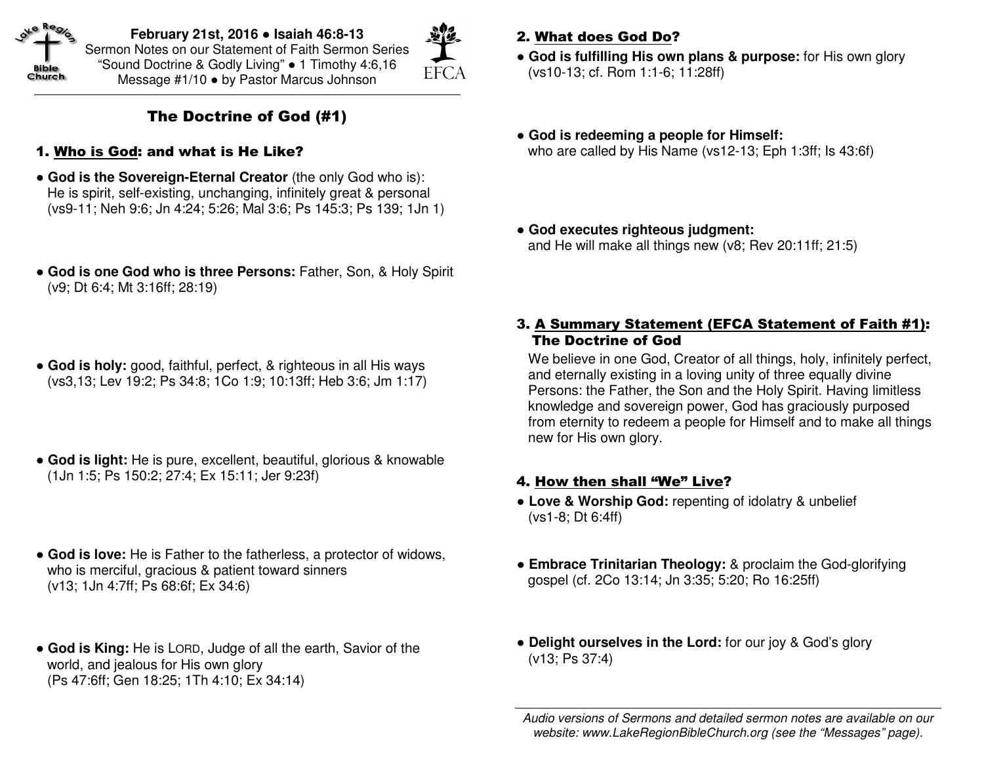

**February 21st, 2016** ● **Isaiah 46:8-13** Sermon Notes on our Statement of Faith Sermon Series "Sound Doctrine & Godly Living" ● 1 Timothy 4:6,16 Message #1/10 ● by Pastor Marcus Johnson



## The Doctrine of God (#1)

- 1. Who is God: and what is He Like?
- **God is the Sovereign-Eternal Creator** (the only God who is): He is spirit, self-existing, unchanging, infinitely great & personal (vs9-11; Neh 9:6; Jn 4:24; 5:26; Mal 3:6; Ps 145:3; Ps 139; 1Jn 1)
- ● **God is one God who is three Persons:** Father, Son, & Holy Spirit (v9; Dt 6:4; Mt 3:16ff; 28:19)
- ● **God is holy:** good, faithful, perfect, & righteous in all His ways (vs3,13; Lev 19:2; Ps 34:8; 1Co 1:9; 10:13ff; Heb 3:6; Jm 1:17)
- ● **God is light:** He is pure, excellent, beautiful, glorious & knowable (1Jn 1:5; Ps 150:2; 27:4; Ex 15:11; Jer 9:23f)
- ● **God is love:** He is Father to the fatherless, a protector of widows, who is merciful, gracious & patient toward sinners (v13; 1Jn 4:7ff; Ps 68:6f; Ex 34:6)
- ● **God is King:** He is LORD, Judge of all the earth, Savior of the world, and jealous for His own glory (Ps 47:6ff; Gen 18:25; 1Th 4:10; Ex 34:14)

## 2. What does God Do?

- ● **God is fulfilling His own plans & purpose:** for His own glory (vs10-13; cf. Rom 1:1-6; 11:28ff)
- ● **God is redeeming a people for Himself:**who are called by His Name (vs12-13; Eph 1:3ff; Is 43:6f)
- ● **God executes righteous judgment:**and He will make all things new (v8; Rev 20:11ff; 21:5)

#### 3. A Summary Statement (EFCA Statement of Faith #1): The Doctrine of God

We believe in one God, Creator of all things, holy, infinitely perfect, and eternally existing in a loving unity of three equally divine Persons: the Father, the Son and the Holy Spirit. Having limitless knowledge and sovereign power, God has graciously purposed from eternity to redeem a people for Himself and to make all things new for His own glory.

#### 4. How then shall "We" Live?

- ● **Love & Worship God:** repenting of idolatry & unbelief (vs1-8; Dt 6:4ff)
- **Embrace Trinitarian Theology:** & proclaim the God-glorifying gospel (cf. 2Co 13:14; Jn 3:35; 5:20; Ro 16:25ff)
- ● **Delight ourselves in the Lord:** for our joy & God's glory (v13; Ps 37:4)

Audio versions of Sermons and detailed sermon notes are available on our website: www.LakeRegionBibleChurch.org (see the "Messages" page).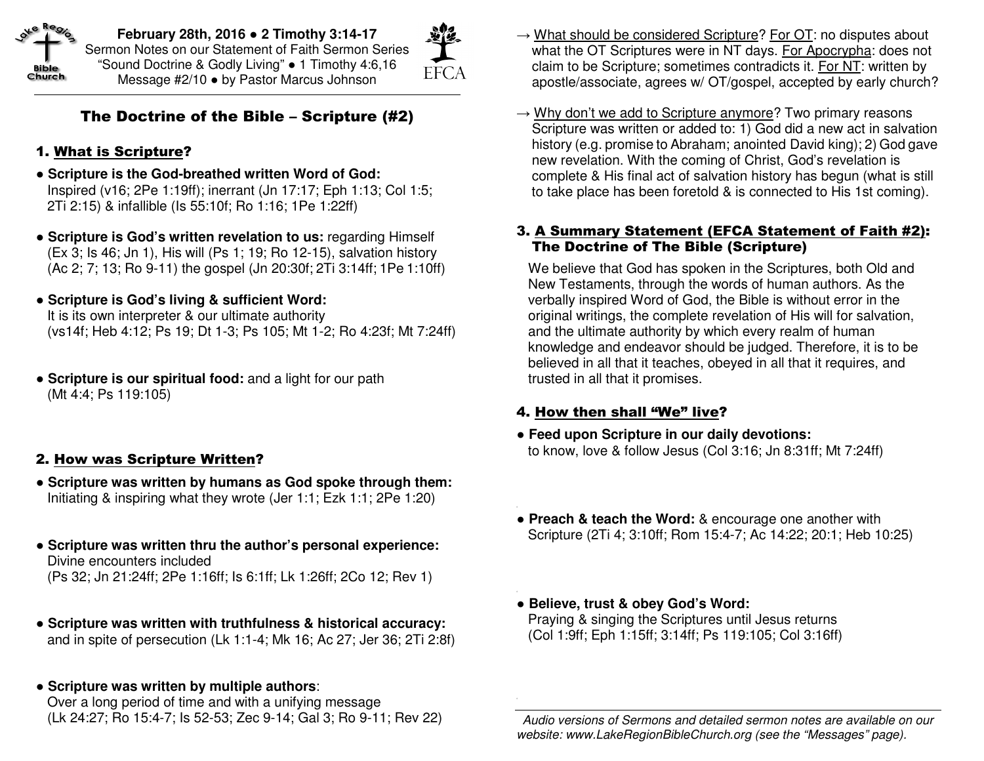

**February 28th, 2016** ● **2 Timothy 3:14-17** Sermon Notes on our Statement of Faith Sermon Series "Sound Doctrine & Godly Living" ● 1 Timothy 4:6,16 Message #2/10 ● by Pastor Marcus Johnson

# **EFCA**

## The Doctrine of the Bible – Scripture (#2)

## 1. What is Scripture?

- ● **Scripture is the God-breathed written Word of God:** Inspired (v16; 2Pe 1:19ff); inerrant (Jn 17:17; Eph 1:13; Col 1:5; 2Ti 2:15) & infallible (Is 55:10f; Ro 1:16; 1Pe 1:22ff)
- ● **Scripture is God's written revelation to us:** regarding Himself (Ex 3; Is 46; Jn 1), His will (Ps 1; 19; Ro 12-15), salvation history (Ac 2; 7; 13; Ro 9-11) the gospel (Jn 20:30f; 2Ti 3:14ff; 1Pe 1:10ff)
- ● **Scripture is God's living & sufficient Word:** It is its own interpreter & our ultimate authority (vs14f; Heb 4:12; Ps 19; Dt 1-3; Ps 105; Mt 1-2; Ro 4:23f; Mt 7:24ff)
- ● **Scripture is our spiritual food:** and a light for our path (Mt 4:4; Ps 119:105)

#### 2. How was Scripture Written?

- ● **Scripture was written by humans as God spoke through them:** Initiating & inspiring what they wrote (Jer 1:1; Ezk 1:1; 2Pe 1:20)
- ● **Scripture was written thru the author's personal experience:**  Divine encounters included (Ps 32; Jn 21:24ff; 2Pe 1:16ff; Is 6:1ff; Lk 1:26ff; 2Co 12; Rev 1)
- ● **Scripture was written with truthfulness & historical accuracy:** and in spite of persecution (Lk 1:1-4; Mk 16; Ac 27; Jer 36; 2Ti 2:8f)
- ● **Scripture was written by multiple authors**:

 Over a long period of time and with a unifying message (Lk 24:27; Ro 15:4-7; Is 52-53; Zec 9-14; Gal 3; Ro 9-11; Rev 22)

- $\rightarrow$  What should be considered Scripture? For OT: no disputes about what the OT Scriptures were in NT days. For Apocrypha: does not claim to be Scripture; sometimes contradicts it. For NT: written by apostle/associate, agrees w/ OT/gospel, accepted by early church?
- $\rightarrow$  Why don't we add to Scripture anymore? Two primary reasons Scripture was written or added to: 1) God did a new act in salvation history (e.g. promise to Abraham; anointed David king); 2) God gave new revelation. With the coming of Christ, God's revelation is complete & His final act of salvation history has begun (what is still to take place has been foretold & is connected to His 1st coming).

#### 3. A Summary Statement (EFCA Statement of Faith #2): The Doctrine of The Bible (Scripture)

We believe that God has spoken in the Scriptures, both Old and New Testaments, through the words of human authors. As the verbally inspired Word of God, the Bible is without error in the original writings, the complete revelation of His will for salvation, and the ultimate authority by which every realm of human knowledge and endeavor should be judged. Therefore, it is to be believed in all that it teaches, obeyed in all that it requires, and trusted in all that it promises.

#### 4. How then shall "We" live?

- ● **Feed upon Scripture in our daily devotions:** to know, love & follow Jesus (Col 3:16; Jn 8:31ff; Mt 7:24ff)
- ● **Preach & teach the Word:** & encourage one another with Scripture (2Ti 4; 3:10ff; Rom 15:4-7; Ac 14:22; 20:1; Heb 10:25)
- ● **Believe, trust & obey God's Word:**  Praying & singing the Scriptures until Jesus returns (Col 1:9ff; Eph 1:15ff; 3:14ff; Ps 119:105; Col 3:16ff)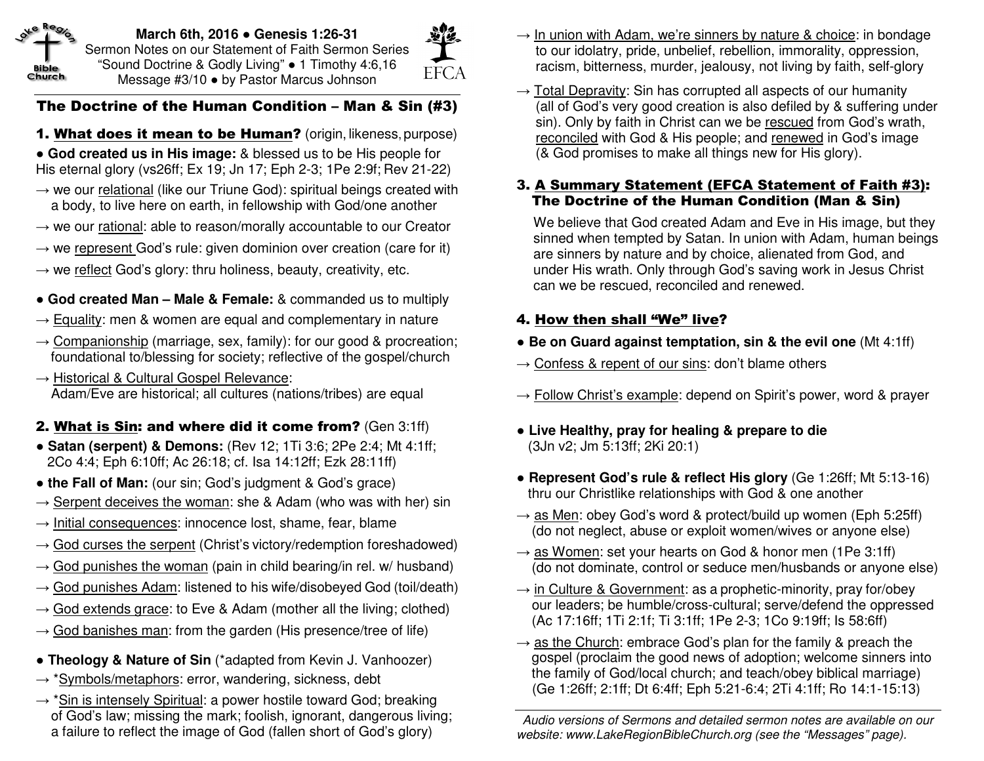

**March 6th, 2016** ● **Genesis 1:26-31** Sermon Notes on our Statement of Faith Sermon Series "Sound Doctrine & Godly Living" ● 1 Timothy 4:6,16 Message #3/10 ● by Pastor Marcus Johnson



## The Doctrine of the Human Condition – Man & Sin (#3)

**1. <u>What does it mean to be Human</u>?** (origin, likeness, purpose)

 ● **God created us in His image:** & blessed us to be His people for His eternal glory (vs26ff; Ex 19; Jn 17; Eph 2-3; 1Pe 2:9f; Rev 21-22)

→ we our relational (like our Triune God): spiritual beings created with a body, to live here on earth, in fellowship with God/one another

- $\rightarrow$  we our rational: able to reason/morally accountable to our Creator
- $\rightarrow$  we represent God's rule: given dominion over creation (care for it)

 $\rightarrow$  we reflect God's glory: thru holiness, beauty, creativity, etc.

## ● **God created Man – Male & Female:** & commanded us to multiply

- $\rightarrow$  Equality: men & women are equal and complementary in nature
- $\rightarrow$  Companionship (marriage, sex, family): for our good & procreation; foundational to/blessing for society; reflective of the gospel/church
- $\rightarrow$  Historical & Cultural Gospel Relevance: Adam/Eve are historical; all cultures (nations/tribes) are equal

## **2. <u>What is Sin</u>: and where did it come from?** (Gen 3:1ff)

- ● **Satan (serpent) & Demons:** (Rev 12; 1Ti 3:6; 2Pe 2:4; Mt 4:1ff; 2Co 4:4; Eph 6:10ff; Ac 26:18; cf. Isa 14:12ff; Ezk 28:11ff)
- ● **the Fall of Man:** (our sin; God's judgment & God's grace)
- $\rightarrow$  Serpent deceives the woman: she & Adam (who was with her) sin
- $\rightarrow$  Initial consequences: innocence lost, shame, fear, blame
- $\rightarrow$  <u>God curses the serpent</u> (Christ's victory/redemption foreshadowed)
- $\rightarrow$  God punishes the woman (pain in child bearing/in rel. w/ husband)
- $\rightarrow$  <u>God punishes Adam</u>: listened to his wife/disobeyed God (toil/death)
- $\rightarrow$  God extends grace: to Eve & Adam (mother all the living; clothed)
- $\rightarrow$  God banishes man: from the garden (His presence/tree of life)
- ● **Theology & Nature of Sin** (\*adapted from Kevin J. Vanhoozer)
- → \*<u>Symbols/metaphors</u>: error, wandering, sickness, debt
- → \*<u>Sin is intensely Spiritual</u>: a power hostile toward God; breaking of God's law; missing the mark; foolish, ignorant, dangerous living; a failure to reflect the image of God (fallen short of God's glory)
- $\rightarrow$  In union with Adam, we're sinners by nature & choice: in bondage to our idolatry, pride, unbelief, rebellion, immorality, oppression, racism, bitterness, murder, jealousy, not living by faith, self-glory
- $\rightarrow$  Total Depravity: Sin has corrupted all aspects of our humanity (all of God's very good creation is also defiled by & suffering under sin). Only by faith in Christ can we be rescued from God's wrath, reconciled with God & His people; and renewed in God's image (& God promises to make all things new for His glory).

#### 3. A Summary Statement (EFCA Statement of Faith #3): The Doctrine of the Human Condition (Man & Sin)

We believe that God created Adam and Eve in His image, but they sinned when tempted by Satan. In union with Adam, human beings are sinners by nature and by choice, alienated from God, and under His wrath. Only through God's saving work in Jesus Christ can we be rescued, reconciled and renewed.

## 4. How then shall "We" live?

- ● **Be on Guard against temptation, sin & the evil one** (Mt 4:1ff)
- $\rightarrow$  Confess & repent of our sins: don't blame others
- $\rightarrow$  Follow Christ's example: depend on Spirit's power, word & praver
- ● **Live Healthy, pray for healing & prepare to die**(3Jn v2; Jm 5:13ff; 2Ki 20:1)
- ● **Represent God's rule & reflect His glory** (Ge 1:26ff; Mt 5:13-16) thru our Christlike relationships with God & one another
- $\rightarrow$  as Men: obey God's word & protect/build up women (Eph 5:25ff) (do not neglect, abuse or exploit women/wives or anyone else)
- $\rightarrow$  as Women: set your hearts on God & honor men (1Pe 3:1ff) (do not dominate, control or seduce men/husbands or anyone else)
- $\rightarrow$  in Culture & Government: as a prophetic-minority, pray for/obey our leaders; be humble/cross-cultural; serve/defend the oppressed (Ac 17:16ff; 1Ti 2:1f; Ti 3:1ff; 1Pe 2-3; 1Co 9:19ff; Is 58:6ff)
- $\rightarrow$  as the Church: embrace God's plan for the family & preach the gospel (proclaim the good news of adoption; welcome sinners into the family of God/local church; and teach/obey biblical marriage) (Ge 1:26ff; 2:1ff; Dt 6:4ff; Eph 5:21-6:4; 2Ti 4:1ff; Ro 14:1-15:13)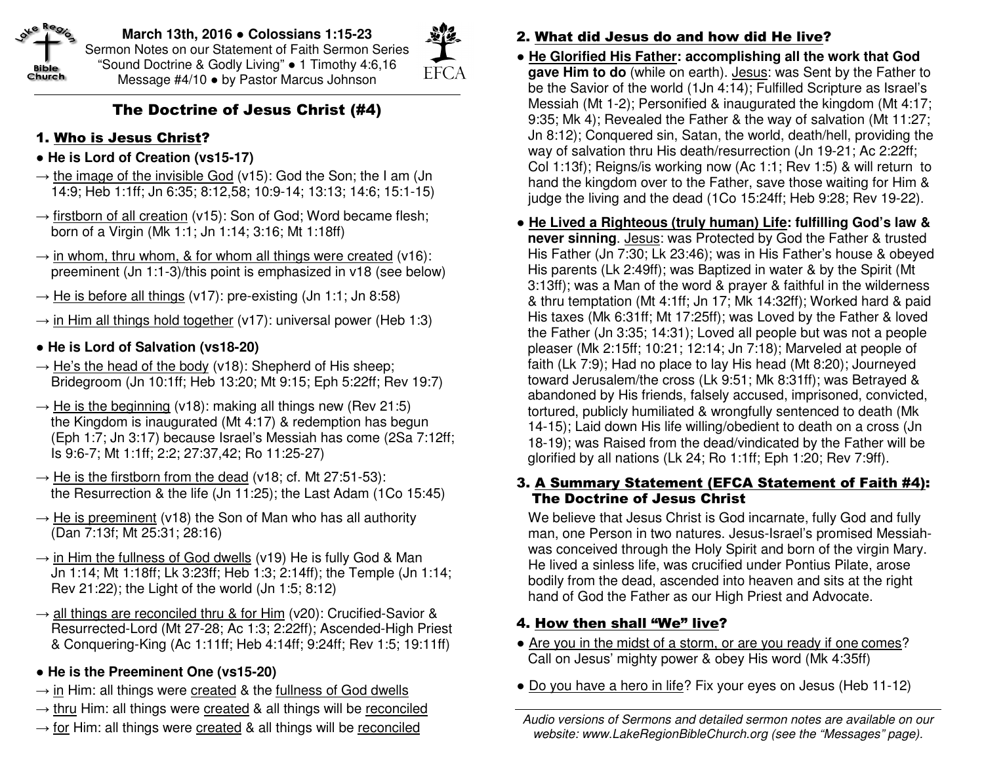

**March 13th, 2016** ● **Colossians 1:15-23** Sermon Notes on our Statement of Faith Sermon Series "Sound Doctrine & Godly Living" ● 1 Timothy 4:6,16 Message #4/10 ● by Pastor Marcus Johnson



## The Doctrine of Jesus Christ (#4)

## 1. Who is Jesus Christ?

- ● **He is Lord of Creation (vs15-17)**
- $\rightarrow$  the image of the invisible God (v15): God the Son; the I am (Jn 14:9; Heb 1:1ff; Jn 6:35; 8:12,58; 10:9-14; 13:13; 14:6; 15:1-15)
- $\rightarrow$  firstborn of all creation (v15): Son of God; Word became flesh; born of a Virgin (Mk 1:1; Jn 1:14; 3:16; Mt 1:18ff)
- $\rightarrow$  in whom, thru whom, & for whom all things were created (v16): preeminent (Jn 1:1-3)/this point is emphasized in v18 (see below)
- $\rightarrow$  He is before all things (v17): pre-existing (Jn 1:1; Jn 8:58)
- $\rightarrow$  in Him all things hold together (v17): universal power (Heb 1:3)
- ● **He is Lord of Salvation (vs18-20)**
- $\rightarrow$  He's the head of the body (v18): Shepherd of His sheep; Bridegroom (Jn 10:1ff; Heb 13:20; Mt 9:15; Eph 5:22ff; Rev 19:7)
- $\rightarrow$  He is the beginning (v18): making all things new (Rev 21:5) the Kingdom is inaugurated (Mt 4:17) & redemption has begun (Eph 1:7; Jn 3:17) because Israel's Messiah has come (2Sa 7:12ff; Is 9:6-7; Mt 1:1ff; 2:2; 27:37,42; Ro 11:25-27)
- $\rightarrow$  He is the firstborn from the dead (v18; cf. Mt 27:51-53): the Resurrection & the life (Jn 11:25); the Last Adam (1Co 15:45)
- $\rightarrow$  He is preeminent (v18) the Son of Man who has all authority (Dan 7:13f; Mt 25:31; 28:16)
- $\rightarrow$  in Him the fullness of God dwells (v19) He is fully God & Man Jn 1:14; Mt 1:18ff; Lk 3:23ff; Heb 1:3; 2:14ff); the Temple (Jn 1:14; Rev 21:22); the Light of the world (Jn 1:5; 8:12)
- $\rightarrow$  all things are reconciled thru & for Him (v20): Crucified-Savior & Resurrected-Lord (Mt 27-28; Ac 1:3; 2:22ff); Ascended-High Priest & Conquering-King (Ac 1:11ff; Heb 4:14ff; 9:24ff; Rev 1:5; 19:11ff)
- ● **He is the Preeminent One (vs15-20)**
- $\rightarrow$  in Him: all things were created & the fullness of God dwells
- → thru Him: all things were created & all things will be reconciled
- $\rightarrow$  for Him: all things were created & all things will be reconciled
- 2. What did Jesus do and how did He live?
- ● **He Glorified His Father: accomplishing all the work that God** gave Him to do (while on earth). Jesus: was Sent by the Father to be the Savior of the world (1Jn 4:14); Fulfilled Scripture as Israel's Messiah (Mt 1-2); Personified & inaugurated the kingdom (Mt 4:17; 9:35; Mk 4); Revealed the Father & the way of salvation (Mt 11:27; Jn 8:12); Conquered sin, Satan, the world, death/hell, providing the way of salvation thru His death/resurrection (Jn 19-21; Ac 2:22ff; Col 1:13f); Reigns/is working now (Ac 1:1; Rev 1:5) & will return to hand the kingdom over to the Father, save those waiting for Him & judge the living and the dead (1Co 15:24ff; Heb 9:28; Rev 19-22).
- ● **He Lived a Righteous (truly human) Life: fulfilling God's law & never sinning**. Jesus: was Protected by God the Father & trusted His Father (Jn 7:30; Lk 23:46); was in His Father's house & obeyed His parents (Lk 2:49ff); was Baptized in water & by the Spirit (Mt 3:13ff); was a Man of the word & prayer & faithful in the wilderness & thru temptation (Mt 4:1ff; Jn 17; Mk 14:32ff); Worked hard & paid His taxes (Mk 6:31ff; Mt 17:25ff); was Loved by the Father & loved the Father (Jn 3:35; 14:31); Loved all people but was not a people pleaser (Mk 2:15ff; 10:21; 12:14; Jn 7:18); Marveled at people of faith (Lk 7:9); Had no place to lay His head (Mt 8:20); Journeyed toward Jerusalem/the cross (Lk 9:51; Mk 8:31ff); was Betrayed & abandoned by His friends, falsely accused, imprisoned, convicted, tortured, publicly humiliated & wrongfully sentenced to death (Mk 14-15); Laid down His life willing/obedient to death on a cross (Jn 18-19); was Raised from the dead/vindicated by the Father will be glorified by all nations (Lk 24; Ro 1:1ff; Eph 1:20; Rev 7:9ff).

## 3. A Summary Statement (EFCA Statement of Faith #4): The Doctrine of Jesus Christ

We believe that Jesus Christ is God incarnate, fully God and fully man, one Person in two natures. Jesus-Israel's promised Messiahwas conceived through the Holy Spirit and born of the virgin Mary. He lived a sinless life, was crucified under Pontius Pilate, arose bodily from the dead, ascended into heaven and sits at the right hand of God the Father as our High Priest and Advocate.

## 4. How then shall "We" live?

- Are you in the midst of a storm, or are you ready if one comes? Call on Jesus' mighty power & obey His word (Mk 4:35ff)
- Do you have a hero in life? Fix your eyes on Jesus (Heb 11-12)

Audio versions of Sermons and detailed sermon notes are available on our website: www.LakeRegionBibleChurch.org (see the "Messages" page).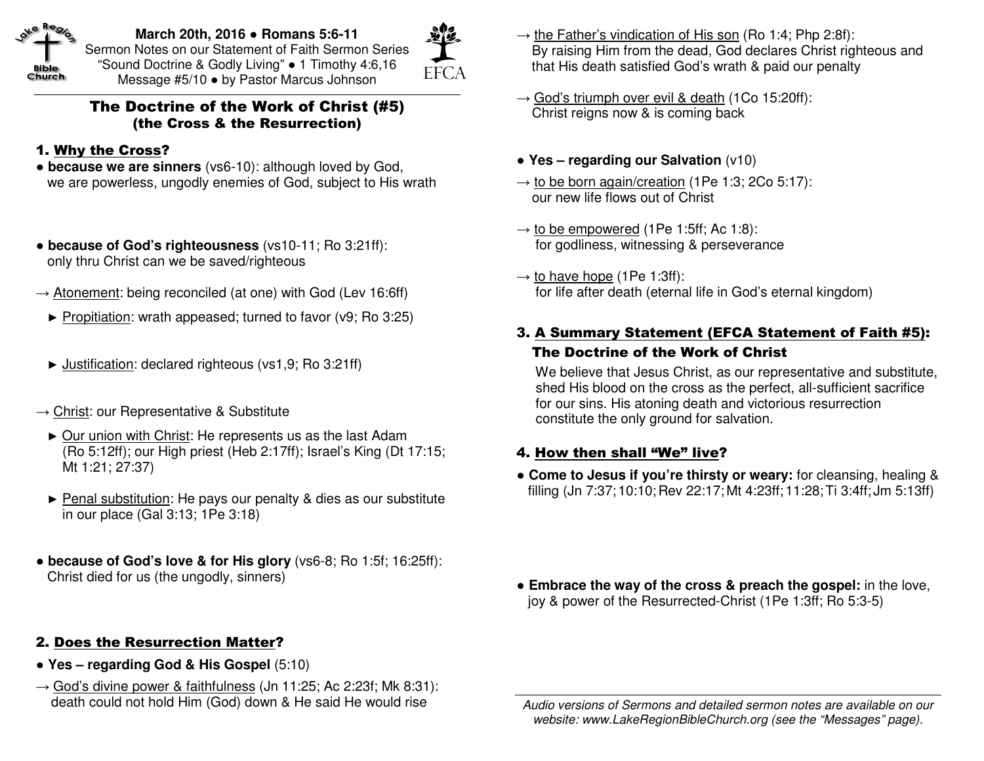

**March 20th, 2016** ● **Romans 5:6-11** Sermon Notes on our Statement of Faith Sermon Series "Sound Doctrine & Godly Living" ● 1 Timothy 4:6,16 Message #5/10 ● by Pastor Marcus Johnson

**EFCA** 

#### The Doctrine of the Work of Christ (#5) (the Cross & the Resurrection)

#### 1. Why the Cross?

- ● **because we are sinners** (vs6-10): although loved by God,we are powerless, ungodly enemies of God, subject to His wrath
- ● **because of God's righteousness** (vs10-11; Ro 3:21ff): only thru Christ can we be saved/righteous
- $\rightarrow$  Atonement: being reconciled (at one) with God (Lev 16:6ff)
	- ► Propitiation: wrath appeased; turned to favor (v9; Ro 3:25)
	- ► Justification: declared righteous (vs1,9; Ro 3:21ff)
- $\rightarrow$  Christ: our Representative & Substitute
- ► Our union with Christ: He represents us as the last Adam (Ro 5:12ff); our High priest (Heb 2:17ff); Israel's King (Dt 17:15; Mt 1:21; 27:37)
	- ► Penal substitution: He pays our penalty & dies as our substitute in our place (Gal 3:13; 1Pe 3:18)
- ● **because of God's love & for His glory** (vs6-8; Ro 1:5f; 16:25ff): Christ died for us (the ungodly, sinners)

#### 2. Does the Resurrection Matter?

- ● **Yes regarding God & His Gospel** (5:10)
- $\rightarrow$  God's divine power & faithfulness (Jn 11:25; Ac 2:23f; Mk 8:31): death could not hold Him (God) down & He said He would rise
- $\rightarrow$  the Father's vindication of His son (Ro 1:4; Php 2:8f): By raising Him from the dead, God declares Christ righteous and that His death satisfied God's wrath & paid our penalty
- $\rightarrow$  God's triumph over evil & death (1Co 15:20ff): Christ reigns now & is coming back
- ● **Yes regarding our Salvation** (v10)
- $\rightarrow$  to be born again/creation (1Pe 1:3; 2Co 5:17): our new life flows out of Christ
- $\rightarrow$  to be empowered (1Pe 1:5ff; Ac 1:8): for godliness, witnessing & perseverance
- $\rightarrow$  to have hope (1Pe 1:3ff): for life after death (eternal life in God's eternal kingdom)
- 3. A Summary Statement (EFCA Statement of Faith #5): The Doctrine of the Work of Christ

 We believe that Jesus Christ, as our representative and substitute, shed His blood on the cross as the perfect, all-sufficient sacrifice for our sins. His atoning death and victorious resurrection constitute the only ground for salvation.

#### 4. How then shall "We" live?

● **Come to Jesus if you're thirsty or weary:** for cleansing, healing & filling (Jn 7:37; 10:10; Rev 22:17; Mt 4:23ff; 11:28;Ti 3:4ff; Jm 5:13ff)

**• Embrace the way of the cross & preach the gospel:** in the love, joy & power of the Resurrected-Christ (1Pe 1:3ff; Ro 5:3-5)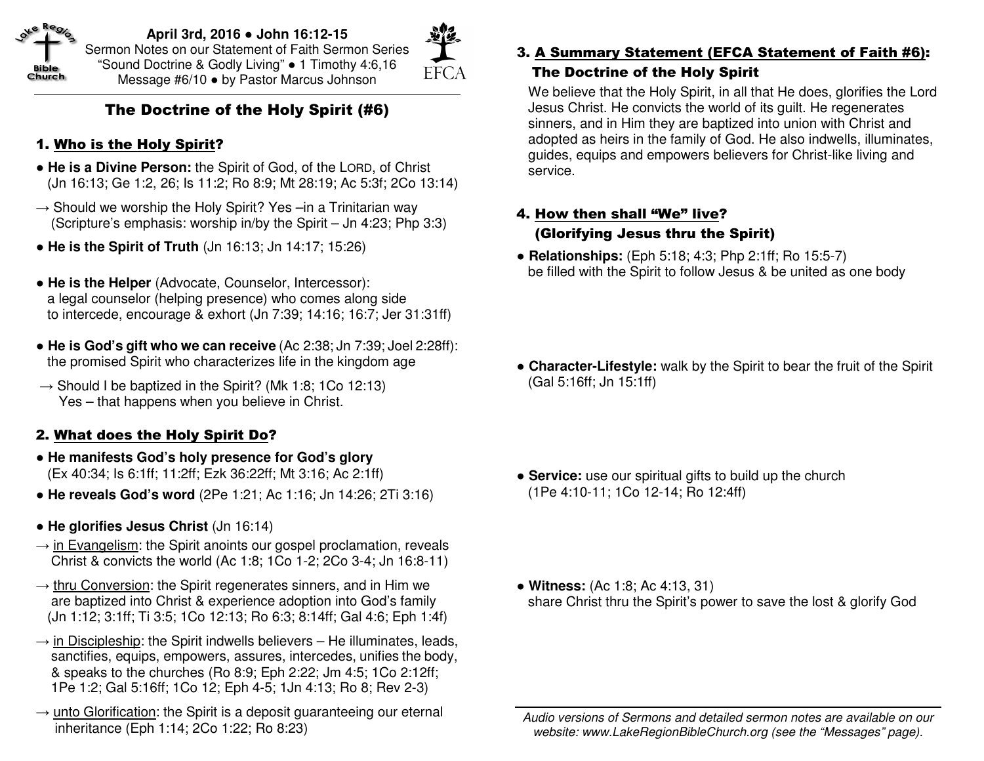

**April 3rd, 2016** ● **John 16:12-15** Sermon Notes on our Statement of Faith Sermon Series "Sound Doctrine & Godly Living" ● 1 Timothy 4:6,16 Message #6/10 ● by Pastor Marcus Johnson



## The Doctrine of the Holy Spirit (#6)

## 1. Who is the Holy Spirit?

- **He is a Divine Person:** the Spirit of God, of the LORD, of Christ (Jn 16:13; Ge 1:2, 26; Is 11:2; Ro 8:9; Mt 28:19; Ac 5:3f; 2Co 13:14)
- $\rightarrow$  Should we worship the Holy Spirit? Yes –in a Trinitarian way (Scripture's emphasis: worship in/by the Spirit – Jn 4:23; Php 3:3)
- ● **He is the Spirit of Truth** (Jn 16:13; Jn 14:17; 15:26)
- ● **He is the Helper** (Advocate, Counselor, Intercessor): a legal counselor (helping presence) who comes along side to intercede, encourage & exhort (Jn 7:39; 14:16; 16:7; Jer 31:31ff)
- ● **He is God's gift who we can receive** (Ac 2:38; Jn 7:39; Joel 2:28ff): the promised Spirit who characterizes life in the kingdom age
- $\rightarrow$  Should I be baptized in the Spirit? (Mk 1:8; 1Co 12:13) Yes – that happens when you believe in Christ.

## 2. What does the Holy Spirit Do?

- ● **He manifests God's holy presence for God's glory**(Ex 40:34; Is 6:1ff; 11:2ff; Ezk 36:22ff; Mt 3:16; Ac 2:1ff)
- ● **He reveals God's word** (2Pe 1:21; Ac 1:16; Jn 14:26; 2Ti 3:16)
- ● **He glorifies Jesus Christ** (Jn 16:14)
- $\rightarrow$  in Evangelism: the Spirit anoints our gospel proclamation, reveals Christ & convicts the world (Ac 1:8; 1Co 1-2; 2Co 3-4; Jn 16:8-11)
- $\rightarrow$  <u>thru Conversion</u>: the Spirit regenerates sinners, and in Him we are baptized into Christ & experience adoption into God's family (Jn 1:12; 3:1ff; Ti 3:5; 1Co 12:13; Ro 6:3; 8:14ff; Gal 4:6; Eph 1:4f)
- $\rightarrow$  in Discipleship: the Spirit indwells believers He illuminates, leads, sanctifies, equips, empowers, assures, intercedes, unifies the body, & speaks to the churches (Ro 8:9; Eph 2:22; Jm 4:5; 1Co 2:12ff; 1Pe 1:2; Gal 5:16ff; 1Co 12; Eph 4-5; 1Jn 4:13; Ro 8; Rev 2-3)
- $\rightarrow$  unto Glorification: the Spirit is a deposit guaranteeing our eternal inheritance (Eph 1:14; 2Co 1:22; Ro 8:23)

#### 3. A Summary Statement (EFCA Statement of Faith #6): The Doctrine of the Holy Spirit

We believe that the Holy Spirit, in all that He does, glorifies the Lord Jesus Christ. He convicts the world of its guilt. He regenerates sinners, and in Him they are baptized into union with Christ and adopted as heirs in the family of God. He also indwells, illuminates, guides, equips and empowers believers for Christ-like living and service.

### 4. How then shall "We" live? (Glorifying Jesus thru the Spirit)

- ● **Relationships:** (Eph 5:18; 4:3; Php 2:1ff; Ro 15:5-7) be filled with the Spirit to follow Jesus & be united as one body
- ● **Character-Lifestyle:** walk by the Spirit to bear the fruit of the Spirit(Gal 5:16ff; Jn 15:1ff)
- ● **Service:** use our spiritual gifts to build up the church (1Pe 4:10-11; 1Co 12-14; Ro 12:4ff)

● **Witness:** (Ac 1:8; Ac 4:13, 31) share Christ thru the Spirit's power to save the lost & glorify God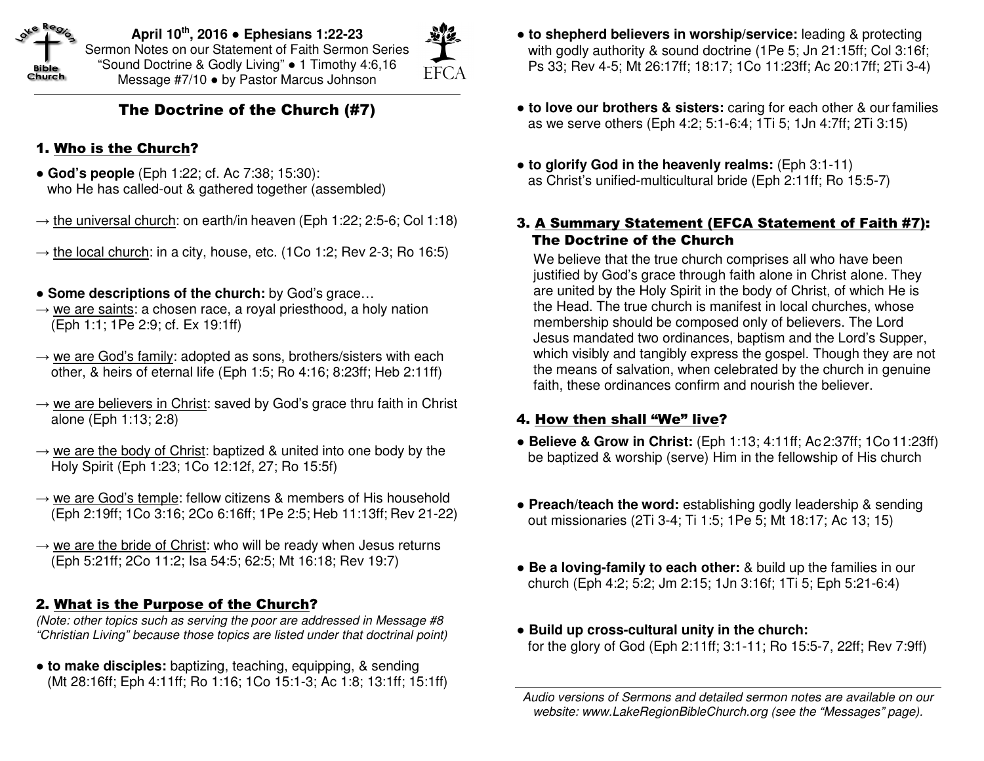

**April 10th, 2016** ● **Ephesians 1:22-23** Sermon Notes on our Statement of Faith Sermon Series "Sound Doctrine & Godly Living" ● 1 Timothy 4:6,16 Message #7/10 ● by Pastor Marcus Johnson



## The Doctrine of the Church (#7)

## 1. Who is the Church?

- ● **God's people** (Eph 1:22; cf. Ac 7:38; 15:30): who He has called-out & gathered together (assembled)
- $\rightarrow$  <u>the universal church</u>: on earth/in heaven (Eph 1:22; 2:5-6; Col 1:18)
- $\rightarrow$  the local church: in a city, house, etc. (1Co 1:2; Rev 2-3; Ro 16:5)
- ● **Some descriptions of the church:** by God's grace…
- $\rightarrow$  <u>we are saints</u>: a chosen race, a royal priesthood, a holy nation (Eph 1:1; 1Pe 2:9; cf. Ex 19:1ff)
- $\rightarrow$  we are God's family: adopted as sons, brothers/sisters with each other, & heirs of eternal life (Eph 1:5; Ro 4:16; 8:23ff; Heb 2:11ff)
- $\rightarrow$  we are believers in Christ: saved by God's grace thru faith in Christ alone (Eph 1:13; 2:8)
- $\rightarrow$  we are the body of Christ: baptized & united into one body by the Holy Spirit (Eph 1:23; 1Co 12:12f, 27; Ro 15:5f)
- $\rightarrow$  we are God's temple: fellow citizens & members of His household (Eph 2:19ff; 1Co 3:16; 2Co 6:16ff; 1Pe 2:5; Heb 11:13ff; Rev 21-22)
- $\rightarrow$  we are the bride of Christ: who will be ready when Jesus returns (Eph 5:21ff; 2Co 11:2; Isa 54:5; 62:5; Mt 16:18; Rev 19:7)

## 2. What is the Purpose of the Church?

 (Note: other topics such as serving the poor are addressed in Message #8 "Christian Living" because those topics are listed under that doctrinal point)

● **to make disciples:** baptizing, teaching, equipping, & sending (Mt 28:16ff; Eph 4:11ff; Ro 1:16; 1Co 15:1-3; Ac 1:8; 13:1ff; 15:1ff)

- ● **to shepherd believers in worship/service:** leading & protecting with godly authority & sound doctrine (1Pe 5; Jn 21:15ff; Col 3:16f; Ps 33; Rev 4-5; Mt 26:17ff; 18:17; 1Co 11:23ff; Ac 20:17ff; 2Ti 3-4)
- ● **to love our brothers & sisters:** caring for each other & our families as we serve others (Eph 4:2; 5:1-6:4; 1Ti 5; 1Jn 4:7ff; 2Ti 3:15)
- ● **to glorify God in the heavenly realms:** (Eph 3:1-11)as Christ's unified-multicultural bride (Eph 2:11ff; Ro 15:5-7)
- 3. A Summary Statement (EFCA Statement of Faith #7): The Doctrine of the Church

We believe that the true church comprises all who have been justified by God's grace through faith alone in Christ alone. They are united by the Holy Spirit in the body of Christ, of which He is the Head. The true church is manifest in local churches, whose membership should be composed only of believers. The Lord Jesus mandated two ordinances, baptism and the Lord's Supper, which visibly and tangibly express the gospel. Though they are not the means of salvation, when celebrated by the church in genuine faith, these ordinances confirm and nourish the believer.

## 4. How then shall "We" live?

- ● **Believe & Grow in Christ:** (Eph 1:13; 4:11ff; Ac 2:37ff; 1Co 11:23ff) be baptized & worship (serve) Him in the fellowship of His church
- ● **Preach/teach the word:** establishing godly leadership & sending out missionaries (2Ti 3-4; Ti 1:5; 1Pe 5; Mt 18:17; Ac 13; 15)
- ● **Be a loving-family to each other:** & build up the families in our church (Eph 4:2; 5:2; Jm 2:15; 1Jn 3:16f; 1Ti 5; Eph 5:21-6:4)
- ● **Build up cross-cultural unity in the church:** for the glory of God (Eph 2:11ff; 3:1-11; Ro 15:5-7, 22ff; Rev 7:9ff)

Audio versions of Sermons and detailed sermon notes are available on our website: www.LakeRegionBibleChurch.org (see the "Messages" page).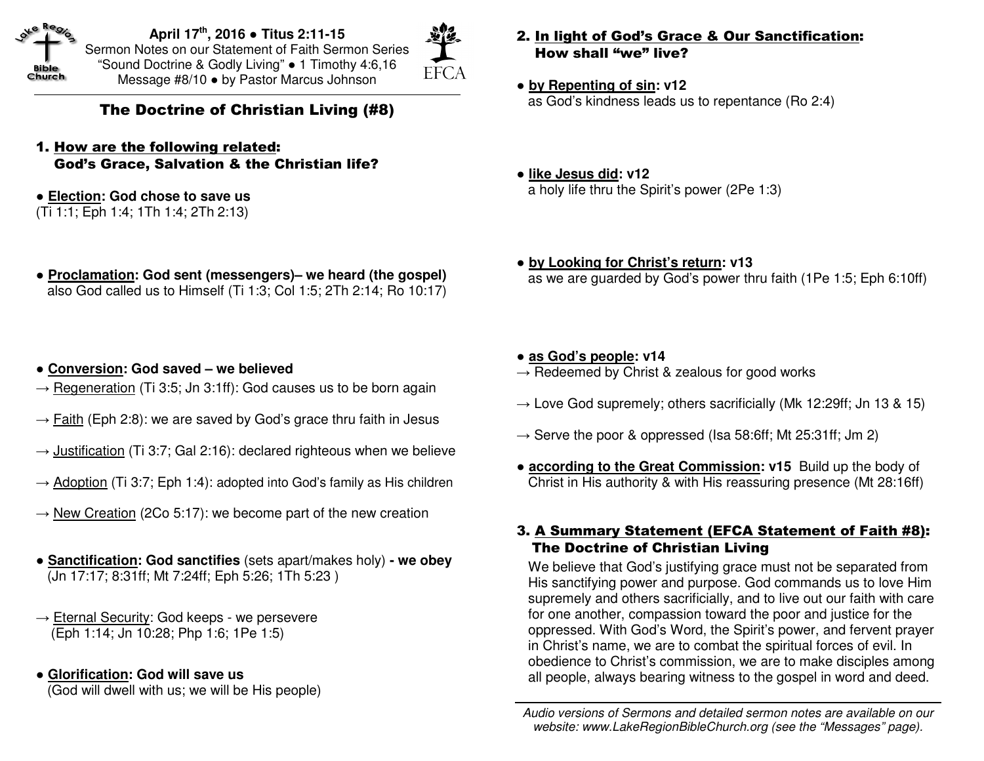

**April 17th, 2016** ● **Titus 2:11-15** Sermon Notes on our Statement of Faith Sermon Series "Sound Doctrine & Godly Living" ● 1 Timothy 4:6,16 Message #8/10 ● by Pastor Marcus Johnson



The Doctrine of Christian Living (#8)

- 1. How are the following related: God's Grace, Salvation & the Christian life?
- ● **Election: God chose to save us**

(Ti 1:1; Eph 1:4; 1Th 1:4; 2Th 2:13)

- ● **Proclamation: God sent (messengers)– we heard (the gospel)** also God called us to Himself (Ti 1:3; Col 1:5; 2Th 2:14; Ro 10:17)
- ● **Conversion: God saved we believed**
- $\rightarrow$  Regeneration (Ti 3:5; Jn 3:1ff): God causes us to be born again
- $\rightarrow$  Faith (Eph 2:8): we are saved by God's grace thru faith in Jesus
- $\rightarrow$  Justification (Ti 3:7; Gal 2:16): declared righteous when we believe
- $\rightarrow$  Adoption (Ti 3:7; Eph 1:4): adopted into God's family as His children
- $\rightarrow$  New Creation (2Co 5:17): we become part of the new creation
- ● **Sanctification: God sanctifies** (sets apart/makes holy) **we obey** (Jn 17:17; 8:31ff; Mt 7:24ff; Eph 5:26; 1Th 5:23 )
- $\rightarrow$  Eternal Security: God keeps we persevere (Eph 1:14; Jn 10:28; Php 1:6; 1Pe 1:5)
- ● **Glorification: God will save us**

(God will dwell with us; we will be His people)

- 2. In light of God's Grace & Our Sanctification: How shall "we" live?
- ● **by Repenting of sin: v12**as God's kindness leads us to repentance (Ro 2:4)
- ● **like Jesus did: v12** a holy life thru the Spirit's power (2Pe 1:3)
- ● **by Looking for Christ's return: v13** as we are guarded by God's power thru faith (1Pe 1:5; Eph 6:10ff)
- ● **as God's people: v14**
- $\rightarrow$  Redeemed by Christ & zealous for good works
- $\rightarrow$  Love God supremely; others sacrificially (Mk 12:29ff; Jn 13 & 15)
- $\rightarrow$  Serve the poor & oppressed (Isa 58:6ff; Mt 25:31ff; Jm 2)
- ● **according to the Great Commission: v15** Build up the body of Christ in His authority & with His reassuring presence (Mt 28:16ff)

## 3. A Summary Statement (EFCA Statement of Faith #8): The Doctrine of Christian Living

We believe that God's justifying grace must not be separated from His sanctifying power and purpose. God commands us to love Him supremely and others sacrificially, and to live out our faith with care for one another, compassion toward the poor and justice for the oppressed. With God's Word, the Spirit's power, and fervent prayer in Christ's name, we are to combat the spiritual forces of evil. In obedience to Christ's commission, we are to make disciples among all people, always bearing witness to the gospel in word and deed.

Audio versions of Sermons and detailed sermon notes are available on our website: www.LakeRegionBibleChurch.org (see the "Messages" page).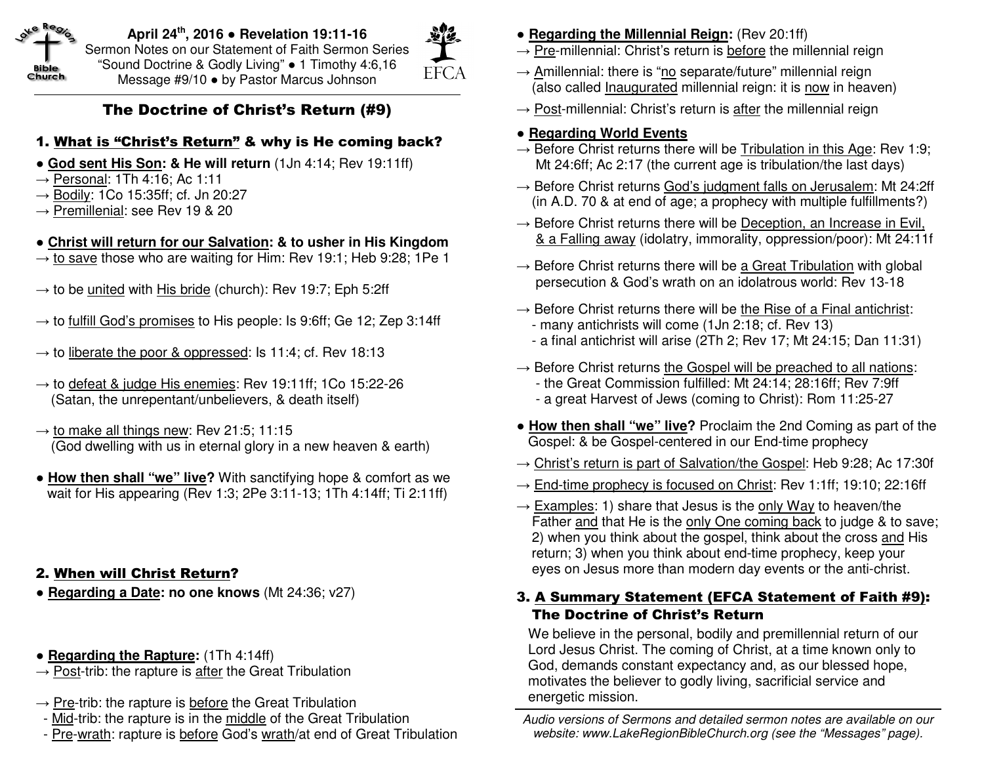

**April 24th, <sup>2016</sup>**● **Revelation 19:11-16** Sermon Notes on our Statement of Faith Sermon Series "Sound Doctrine & Godly Living" ● 1 Timothy 4:6,16 Message #9/10 ● by Pastor Marcus Johnson

## **EFCA**

## The Doctrine of Christ's Return (#9)

## 1. What is "Christ's Return" & why is He coming back?

- ● **God sent His Son: & He will return** (1Jn 4:14; Rev 19:11ff)
- $\rightarrow$  Personal: 1Th 4:16; Ac 1:11
- → <u>Bodily</u>: 1Co 15:35ff; cf. Jn 20:27
- $\rightarrow$  Premillenial: see Rev 19 & 20

## ● **Christ will return for our Salvation: & to usher in His Kingdom**

- $\rightarrow$  to save those who are waiting for Him: Rev 19:1; Heb 9:28; 1Pe 1
- $\rightarrow$  to be united with His bride (church): Rev 19:7; Eph 5:2ff
- $\rightarrow$  to fulfill God's promises to His people: Is 9:6ff; Ge 12; Zep 3:14ff
- $\rightarrow$  to liberate the poor & oppressed: Is 11:4; cf. Rev 18:13
- $\rightarrow$  to defeat & judge His enemies: Rev 19:11ff; 1Co 15:22-26 (Satan, the unrepentant/unbelievers, & death itself)
- $\rightarrow$  to make all things new: Rev 21:5; 11:15 (God dwelling with us in eternal glory in a new heaven & earth)
- ● **How then shall "we" live?** With sanctifying hope & comfort as we wait for His appearing (Rev 1:3; 2Pe 3:11-13; 1Th 4:14ff; Ti 2:11ff)

## 2. When will Christ Return?

- ● **Regarding a Date: no one knows** (Mt 24:36; v27)
- ● **Regarding the Rapture:** (1Th 4:14ff)
- $\rightarrow$  Post-trib: the rapture is after the Great Tribulation
- $\rightarrow$  Pre-trib: the rapture is before the Great Tribulation
- Mid-trib: the rapture is in the middle of the Great Tribulation
- Pre-wrath: rapture is before God's wrath/at end of Great Tribulation
- ● **Regarding the Millennial Reign:** (Rev 20:1ff)
- $\rightarrow$  Pre-millennial: Christ's return is before the millennial reign
- $\rightarrow$  Amillennial: there is "no separate/future" millennial reign (also called *Inaugurated* millennial reign: it is now in heaven)
- $\rightarrow$  Post-millennial: Christ's return is after the millennial reign

## ● **Regarding World Events**

- $\rightarrow$  Before Christ returns there will be Tribulation in this Age: Rev 1:9; Mt 24:6ff; Ac 2:17 (the current age is tribulation/the last days)
- $\rightarrow$  Before Christ returns God's judgment falls on Jerusalem: Mt 24:2ff (in A.D. 70 & at end of age; a prophecy with multiple fulfillments?)
- $\rightarrow$  Before Christ returns there will be Deception, an Increase in Evil, & a Falling away (idolatry, immorality, oppression/poor): Mt 24:11f
- $\rightarrow$  Before Christ returns there will be a Great Tribulation with global persecution & God's wrath on an idolatrous world: Rev 13-18
- $\rightarrow$  Before Christ returns there will be the Rise of a Final antichrist: - many antichrists will come (1Jn 2:18; cf. Rev 13)
- a final antichrist will arise (2Th 2; Rev 17; Mt 24:15; Dan 11:31)
- $\rightarrow$  Before Christ returns the Gospel will be preached to all nations:
	- the Great Commission fulfilled: Mt 24:14; 28:16ff; Rev 7:9ff
	- a great Harvest of Jews (coming to Christ): Rom 11:25-27
- ● **How then shall "we" live?** Proclaim the 2nd Coming as part of the Gospel: & be Gospel-centered in our End-time prophecy
- $\rightarrow$  Christ's return is part of Salvation/the Gospel: Heb 9:28; Ac 17:30f
- $\rightarrow$  End-time prophecy is focused on Christ: Rev 1:1ff; 19:10; 22:16ff
- $\rightarrow$  Examples: 1) share that Jesus is the only Way to heaven/the Father and that He is the only One coming back to judge & to save; 2) when you think about the gospel, think about the cross and His return; 3) when you think about end-time prophecy, keep your eyes on Jesus more than modern day events or the anti-christ.

## 3. A Summary Statement (EFCA Statement of Faith #9): The Doctrine of Christ's Return

We believe in the personal, bodily and premillennial return of our Lord Jesus Christ. The coming of Christ, at a time known only to God, demands constant expectancy and, as our blessed hope, motivates the believer to godly living, sacrificial service and energetic mission.

Audio versions of Sermons and detailed sermon notes are available on our website: www.LakeRegionBibleChurch.org (see the "Messages" page).